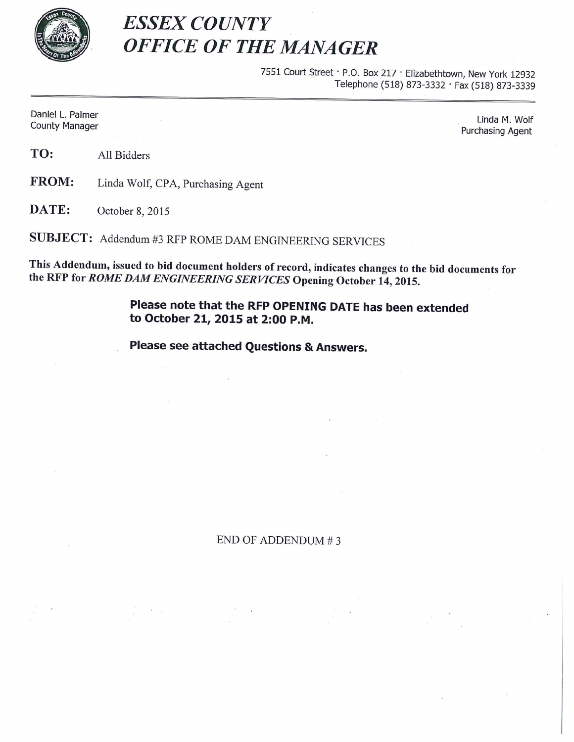

## **ESSEX COUNTY OFFICE OF THE MANAGER**

7551 Court Street · P.O. Box 217 · Elizabethtown, New York 12932 Telephone (518) 873-3332 · Fax (518) 873-3339

Daniel L. Palmer **County Manager** 

Linda M. Wolf Purchasing Agent

TO: All Bidders

**FROM:** Linda Wolf, CPA, Purchasing Agent

DATE: October 8, 2015

SUBJECT: Addendum #3 RFP ROME DAM ENGINEERING SERVICES

This Addendum, issued to bid document holders of record, indicates changes to the bid documents for the RFP for ROME DAM ENGINEERING SERVICES Opening October 14, 2015.

> Please note that the RFP OPENING DATE has been extended to October 21, 2015 at 2:00 P.M.

Please see attached Questions & Answers.

END OF ADDENDUM #3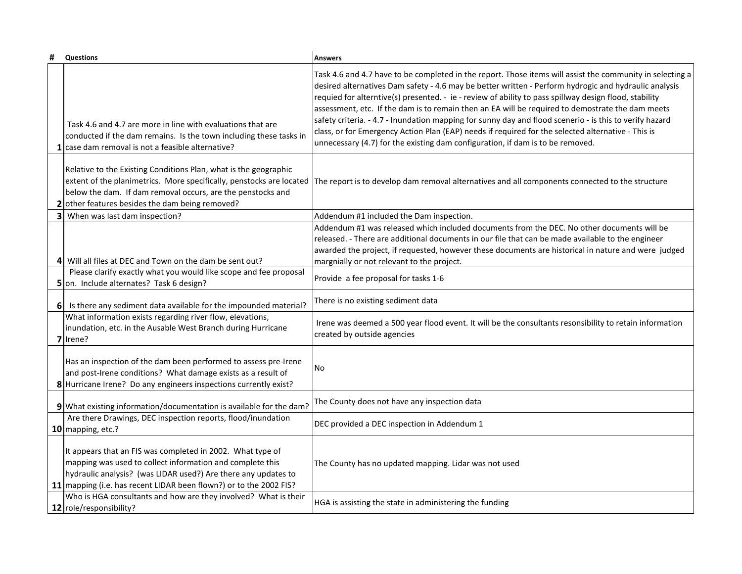|   | <b>Questions</b>                                                                                                                                                                                                                                                | <b>Answers</b>                                                                                                                                                                                                                                                                                                                                                                                                                                                                                                                                                                                                                                                                                                                      |
|---|-----------------------------------------------------------------------------------------------------------------------------------------------------------------------------------------------------------------------------------------------------------------|-------------------------------------------------------------------------------------------------------------------------------------------------------------------------------------------------------------------------------------------------------------------------------------------------------------------------------------------------------------------------------------------------------------------------------------------------------------------------------------------------------------------------------------------------------------------------------------------------------------------------------------------------------------------------------------------------------------------------------------|
|   | Task 4.6 and 4.7 are more in line with evaluations that are<br>conducted if the dam remains. Is the town including these tasks in<br>$1$ case dam removal is not a feasible alternative?                                                                        | Task 4.6 and 4.7 have to be completed in the report. Those items will assist the community in selecting a<br>desired alternatives Dam safety - 4.6 may be better written - Perform hydrogic and hydraulic analysis<br>requied for alterntive(s) presented. - ie - review of ability to pass spillway design flood, stability<br>assessment, etc. If the dam is to remain then an EA will be required to demostrate the dam meets<br>safety criteria. - 4.7 - Inundation mapping for sunny day and flood scenerio - is this to verify hazard<br>class, or for Emergency Action Plan (EAP) needs if required for the selected alternative - This is<br>unnecessary (4.7) for the existing dam configuration, if dam is to be removed. |
|   | Relative to the Existing Conditions Plan, what is the geographic<br>extent of the planimetrics. More specifically, penstocks are located<br>below the dam. If dam removal occurs, are the penstocks and<br>other features besides the dam being removed?        | The report is to develop dam removal alternatives and all components connected to the structure                                                                                                                                                                                                                                                                                                                                                                                                                                                                                                                                                                                                                                     |
| 3 | When was last dam inspection?                                                                                                                                                                                                                                   | Addendum #1 included the Dam inspection.                                                                                                                                                                                                                                                                                                                                                                                                                                                                                                                                                                                                                                                                                            |
|   | Will all files at DEC and Town on the dam be sent out?<br>41                                                                                                                                                                                                    | Addendum #1 was released which included documents from the DEC. No other documents will be<br>released. - There are additional documents in our file that can be made available to the engineer<br>awarded the project, if requested, however these documents are historical in nature and were judged<br>margnially or not relevant to the project.                                                                                                                                                                                                                                                                                                                                                                                |
|   | Please clarify exactly what you would like scope and fee proposal                                                                                                                                                                                               | Provide a fee proposal for tasks 1-6                                                                                                                                                                                                                                                                                                                                                                                                                                                                                                                                                                                                                                                                                                |
|   | 5 on. Include alternates? Task 6 design?                                                                                                                                                                                                                        |                                                                                                                                                                                                                                                                                                                                                                                                                                                                                                                                                                                                                                                                                                                                     |
| 6 | Is there any sediment data available for the impounded material?                                                                                                                                                                                                | There is no existing sediment data                                                                                                                                                                                                                                                                                                                                                                                                                                                                                                                                                                                                                                                                                                  |
|   | What information exists regarding river flow, elevations,<br>inundation, etc. in the Ausable West Branch during Hurricane<br>7 Irene?                                                                                                                           | Irene was deemed a 500 year flood event. It will be the consultants resonsibility to retain information<br>created by outside agencies                                                                                                                                                                                                                                                                                                                                                                                                                                                                                                                                                                                              |
|   | Has an inspection of the dam been performed to assess pre-Irene<br>and post-Irene conditions? What damage exists as a result of<br>8 Hurricane Irene? Do any engineers inspections currently exist?                                                             | <b>No</b>                                                                                                                                                                                                                                                                                                                                                                                                                                                                                                                                                                                                                                                                                                                           |
|   | 9 What existing information/documentation is available for the dam?                                                                                                                                                                                             | The County does not have any inspection data                                                                                                                                                                                                                                                                                                                                                                                                                                                                                                                                                                                                                                                                                        |
|   | Are there Drawings, DEC inspection reports, flood/inundation<br>10 mapping, etc.?                                                                                                                                                                               | DEC provided a DEC inspection in Addendum 1                                                                                                                                                                                                                                                                                                                                                                                                                                                                                                                                                                                                                                                                                         |
|   | It appears that an FIS was completed in 2002. What type of<br>mapping was used to collect information and complete this<br>hydraulic analysis? (was LIDAR used?) Are there any updates to<br>11 mapping (i.e. has recent LIDAR been flown?) or to the 2002 FIS? | The County has no updated mapping. Lidar was not used                                                                                                                                                                                                                                                                                                                                                                                                                                                                                                                                                                                                                                                                               |
|   | Who is HGA consultants and how are they involved? What is their<br>12 role/responsibility?                                                                                                                                                                      | HGA is assisting the state in administering the funding                                                                                                                                                                                                                                                                                                                                                                                                                                                                                                                                                                                                                                                                             |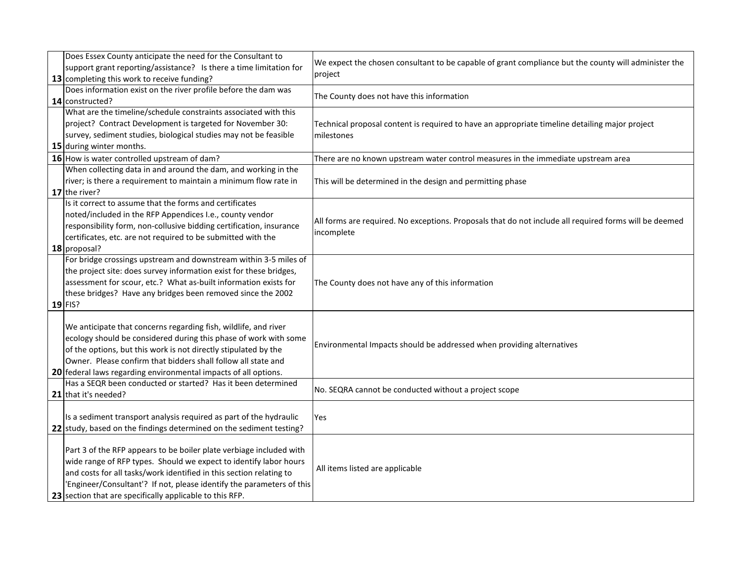| Does Essex County anticipate the need for the Consultant to<br>support grant reporting/assistance? Is there a time limitation for | We expect the chosen consultant to be capable of grant compliance but the county will administer the   |
|-----------------------------------------------------------------------------------------------------------------------------------|--------------------------------------------------------------------------------------------------------|
| 13 completing this work to receive funding?                                                                                       | project                                                                                                |
| Does information exist on the river profile before the dam was                                                                    |                                                                                                        |
| 14 constructed?                                                                                                                   | The County does not have this information                                                              |
| What are the timeline/schedule constraints associated with this                                                                   |                                                                                                        |
| project? Contract Development is targeted for November 30:                                                                        | Technical proposal content is required to have an appropriate timeline detailing major project         |
| survey, sediment studies, biological studies may not be feasible                                                                  | milestones                                                                                             |
| 15 during winter months.                                                                                                          |                                                                                                        |
| 16 How is water controlled upstream of dam?                                                                                       | There are no known upstream water control measures in the immediate upstream area                      |
| When collecting data in and around the dam, and working in the                                                                    |                                                                                                        |
| river; is there a requirement to maintain a minimum flow rate in                                                                  | This will be determined in the design and permitting phase                                             |
| 17 the river?                                                                                                                     |                                                                                                        |
| Is it correct to assume that the forms and certificates                                                                           |                                                                                                        |
| noted/included in the RFP Appendices I.e., county vendor                                                                          | All forms are required. No exceptions. Proposals that do not include all required forms will be deemed |
| responsibility form, non-collusive bidding certification, insurance                                                               | incomplete                                                                                             |
| certificates, etc. are not required to be submitted with the                                                                      |                                                                                                        |
| 18 proposal?                                                                                                                      |                                                                                                        |
| For bridge crossings upstream and downstream within 3-5 miles of                                                                  |                                                                                                        |
| the project site: does survey information exist for these bridges,                                                                |                                                                                                        |
| assessment for scour, etc.? What as-built information exists for                                                                  | The County does not have any of this information                                                       |
| these bridges? Have any bridges been removed since the 2002                                                                       |                                                                                                        |
| $19$ FIS?                                                                                                                         |                                                                                                        |
| We anticipate that concerns regarding fish, wildlife, and river                                                                   |                                                                                                        |
| ecology should be considered during this phase of work with some                                                                  |                                                                                                        |
| of the options, but this work is not directly stipulated by the                                                                   | Environmental Impacts should be addressed when providing alternatives                                  |
| Owner. Please confirm that bidders shall follow all state and                                                                     |                                                                                                        |
| 20 federal laws regarding environmental impacts of all options.                                                                   |                                                                                                        |
| Has a SEQR been conducted or started? Has it been determined                                                                      |                                                                                                        |
| 21 that it's needed?                                                                                                              | No. SEQRA cannot be conducted without a project scope                                                  |
|                                                                                                                                   |                                                                                                        |
| Is a sediment transport analysis required as part of the hydraulic                                                                | Yes                                                                                                    |
| 22 study, based on the findings determined on the sediment testing?                                                               |                                                                                                        |
|                                                                                                                                   |                                                                                                        |
| Part 3 of the RFP appears to be boiler plate verbiage included with                                                               |                                                                                                        |
| wide range of RFP types. Should we expect to identify labor hours                                                                 | All items listed are applicable                                                                        |
| and costs for all tasks/work identified in this section relating to                                                               |                                                                                                        |
| 'Engineer/Consultant'? If not, please identify the parameters of this                                                             |                                                                                                        |
| 23 section that are specifically applicable to this RFP.                                                                          |                                                                                                        |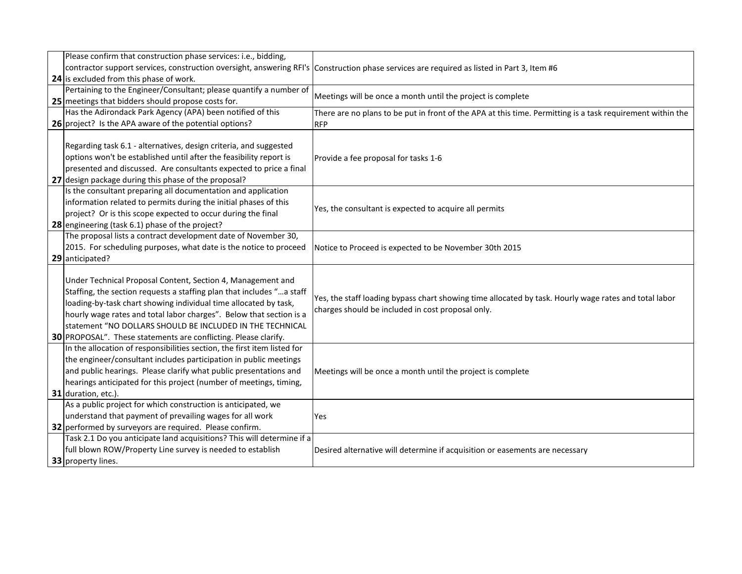| Please confirm that construction phase services: i.e., bidding,          |                                                                                                            |
|--------------------------------------------------------------------------|------------------------------------------------------------------------------------------------------------|
| contractor support services, construction oversight, answering RFI's     | Construction phase services are required as listed in Part 3, Item #6                                      |
| 24 is excluded from this phase of work.                                  |                                                                                                            |
| Pertaining to the Engineer/Consultant; please quantify a number of       |                                                                                                            |
| 25 meetings that bidders should propose costs for.                       | Meetings will be once a month until the project is complete                                                |
| Has the Adirondack Park Agency (APA) been notified of this               | There are no plans to be put in front of the APA at this time. Permitting is a task requirement within the |
| 26 project? Is the APA aware of the potential options?                   | <b>RFP</b>                                                                                                 |
|                                                                          |                                                                                                            |
| Regarding task 6.1 - alternatives, design criteria, and suggested        |                                                                                                            |
| options won't be established until after the feasibility report is       | Provide a fee proposal for tasks 1-6                                                                       |
| presented and discussed. Are consultants expected to price a final       |                                                                                                            |
| 27 design package during this phase of the proposal?                     |                                                                                                            |
| Is the consultant preparing all documentation and application            |                                                                                                            |
| information related to permits during the initial phases of this         | Yes, the consultant is expected to acquire all permits                                                     |
| project? Or is this scope expected to occur during the final             |                                                                                                            |
| 28 engineering (task 6.1) phase of the project?                          |                                                                                                            |
| The proposal lists a contract development date of November 30,           |                                                                                                            |
| 2015. For scheduling purposes, what date is the notice to proceed        | Notice to Proceed is expected to be November 30th 2015                                                     |
| 29 anticipated?                                                          |                                                                                                            |
|                                                                          |                                                                                                            |
| Under Technical Proposal Content, Section 4, Management and              | Yes, the staff loading bypass chart showing time allocated by task. Hourly wage rates and total labor      |
| Staffing, the section requests a staffing plan that includes " a staff   |                                                                                                            |
| loading-by-task chart showing individual time allocated by task,         | charges should be included in cost proposal only.                                                          |
| hourly wage rates and total labor charges". Below that section is a      |                                                                                                            |
| statement "NO DOLLARS SHOULD BE INCLUDED IN THE TECHNICAL                |                                                                                                            |
| 30 PROPOSAL". These statements are conflicting. Please clarify.          |                                                                                                            |
| In the allocation of responsibilities section, the first item listed for |                                                                                                            |
| the engineer/consultant includes participation in public meetings        |                                                                                                            |
| and public hearings. Please clarify what public presentations and        | Meetings will be once a month until the project is complete                                                |
| hearings anticipated for this project (number of meetings, timing,       |                                                                                                            |
| 31 duration, etc.).                                                      |                                                                                                            |
| As a public project for which construction is anticipated, we            |                                                                                                            |
| understand that payment of prevailing wages for all work                 | Yes                                                                                                        |
| 32 performed by surveyors are required. Please confirm.                  |                                                                                                            |
| Task 2.1 Do you anticipate land acquisitions? This will determine if a   |                                                                                                            |
| full blown ROW/Property Line survey is needed to establish               | Desired alternative will determine if acquisition or easements are necessary                               |
| 33 property lines.                                                       |                                                                                                            |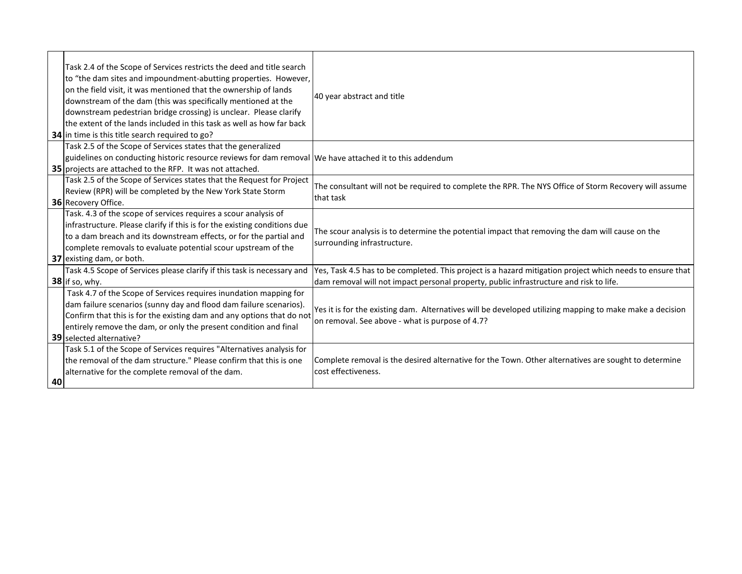|    | Task 2.4 of the Scope of Services restricts the deed and title search<br>to "the dam sites and impoundment-abutting properties. However,<br>on the field visit, it was mentioned that the ownership of lands<br>downstream of the dam (this was specifically mentioned at the<br>downstream pedestrian bridge crossing) is unclear. Please clarify<br>the extent of the lands included in this task as well as how far back<br>34 in time is this title search required to go? | 40 year abstract and title                                                                                                                                                                          |
|----|--------------------------------------------------------------------------------------------------------------------------------------------------------------------------------------------------------------------------------------------------------------------------------------------------------------------------------------------------------------------------------------------------------------------------------------------------------------------------------|-----------------------------------------------------------------------------------------------------------------------------------------------------------------------------------------------------|
|    | Task 2.5 of the Scope of Services states that the generalized<br>guidelines on conducting historic resource reviews for dam removal We have attached it to this addendum<br><b>35</b> projects are attached to the RFP. It was not attached.                                                                                                                                                                                                                                   |                                                                                                                                                                                                     |
|    | Task 2.5 of the Scope of Services states that the Request for Project<br>Review (RPR) will be completed by the New York State Storm<br>36 Recovery Office.                                                                                                                                                                                                                                                                                                                     | The consultant will not be required to complete the RPR. The NYS Office of Storm Recovery will assume<br>that task                                                                                  |
|    | Task. 4.3 of the scope of services requires a scour analysis of<br>infrastructure. Please clarify if this is for the existing conditions due<br>to a dam breach and its downstream effects, or for the partial and<br>complete removals to evaluate potential scour upstream of the<br>37 existing dam, or both.                                                                                                                                                               | The scour analysis is to determine the potential impact that removing the dam will cause on the<br>surrounding infrastructure.                                                                      |
|    | Task 4.5 Scope of Services please clarify if this task is necessary and<br>38 if so, why.                                                                                                                                                                                                                                                                                                                                                                                      | Yes, Task 4.5 has to be completed. This project is a hazard mitigation project which needs to ensure that<br>dam removal will not impact personal property, public infrastructure and risk to life. |
|    | Task 4.7 of the Scope of Services requires inundation mapping for<br>dam failure scenarios (sunny day and flood dam failure scenarios).<br>Confirm that this is for the existing dam and any options that do not<br>entirely remove the dam, or only the present condition and final<br>39 selected alternative?                                                                                                                                                               | Yes it is for the existing dam. Alternatives will be developed utilizing mapping to make make a decision<br>on removal. See above - what is purpose of 4.7?                                         |
| 40 | Task 5.1 of the Scope of Services requires "Alternatives analysis for<br>the removal of the dam structure." Please confirm that this is one<br>alternative for the complete removal of the dam.                                                                                                                                                                                                                                                                                | Complete removal is the desired alternative for the Town. Other alternatives are sought to determine<br>cost effectiveness.                                                                         |